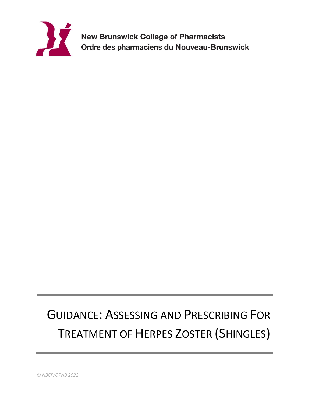

# GUIDANCE: ASSESSING AND PRESCRIBING FOR TREATMENT OF HERPES ZOSTER (SHINGLES)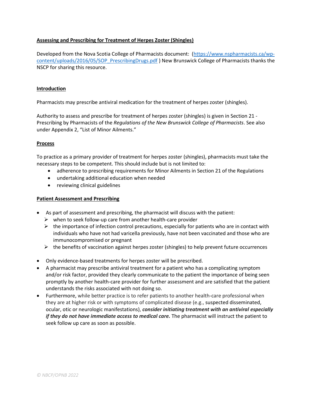## **Assessing and Prescribing for Treatment of Herpes Zoster (Shingles)**

Developed from the Nova Scotia College of Pharmacists document: [\(https://www.nspharmacists.ca/wp](https://www.nspharmacists.ca/wp-content/uploads/2016/05/SOP_PrescribingDrugs.pdf)[content/uploads/2016/05/SOP\\_PrescribingDrugs.pdf](https://www.nspharmacists.ca/wp-content/uploads/2016/05/SOP_PrescribingDrugs.pdf) ) New Brunswick College of Pharmacists thanks the NSCP for sharing this resource.

## **Introduction**

Pharmacists may prescribe antiviral medication for the treatment of herpes zoster (shingles).

Authority to assess and prescribe for treatment of herpes zoster (shingles) is given in Section 21 - Prescribing by Pharmacists of the *Regulations of the New Brunswick College of Pharmacists*. See also under Appendix 2, "List of Minor Ailments."

#### **Process**

To practice as a primary provider of treatment for herpes zoster (shingles), pharmacists must take the necessary steps to be competent. This should include but is not limited to:

- adherence to prescribing requirements for Minor Ailments in Section 21 of the Regulations
- undertaking additional education when needed
- reviewing clinical guidelines

#### **Patient Assessment and Prescribing**

- As part of assessment and prescribing, the pharmacist will discuss with the patient:
	- $\triangleright$  when to seek follow-up care from another health-care provider
	- $\triangleright$  the importance of infection control precautions, especially for patients who are in contact with individuals who have not had varicella previously, have not been vaccinated and those who are immunocompromised or pregnant
	- $\triangleright$  the benefits of vaccination against herpes zoster (shingles) to help prevent future occurrences
- Only evidence-based treatments for herpes zoster will be prescribed.
- A pharmacist may prescribe antiviral treatment for a patient who has a complicating symptom and/or risk factor, provided they clearly communicate to the patient the importance of being seen promptly by another health-care provider for further assessment and are satisfied that the patient understands the risks associated with not doing so.
- Furthermore, while better practice is to refer patients to another health-care professional when they are at higher risk or with symptoms of complicated disease (e.g., suspected disseminated, ocular, otic or neurologic manifestations), *consider initiating treatment with an antiviral especially if they do not have immediate access to medical care.* The pharmacist will instruct the patient to seek follow up care as soon as possible.